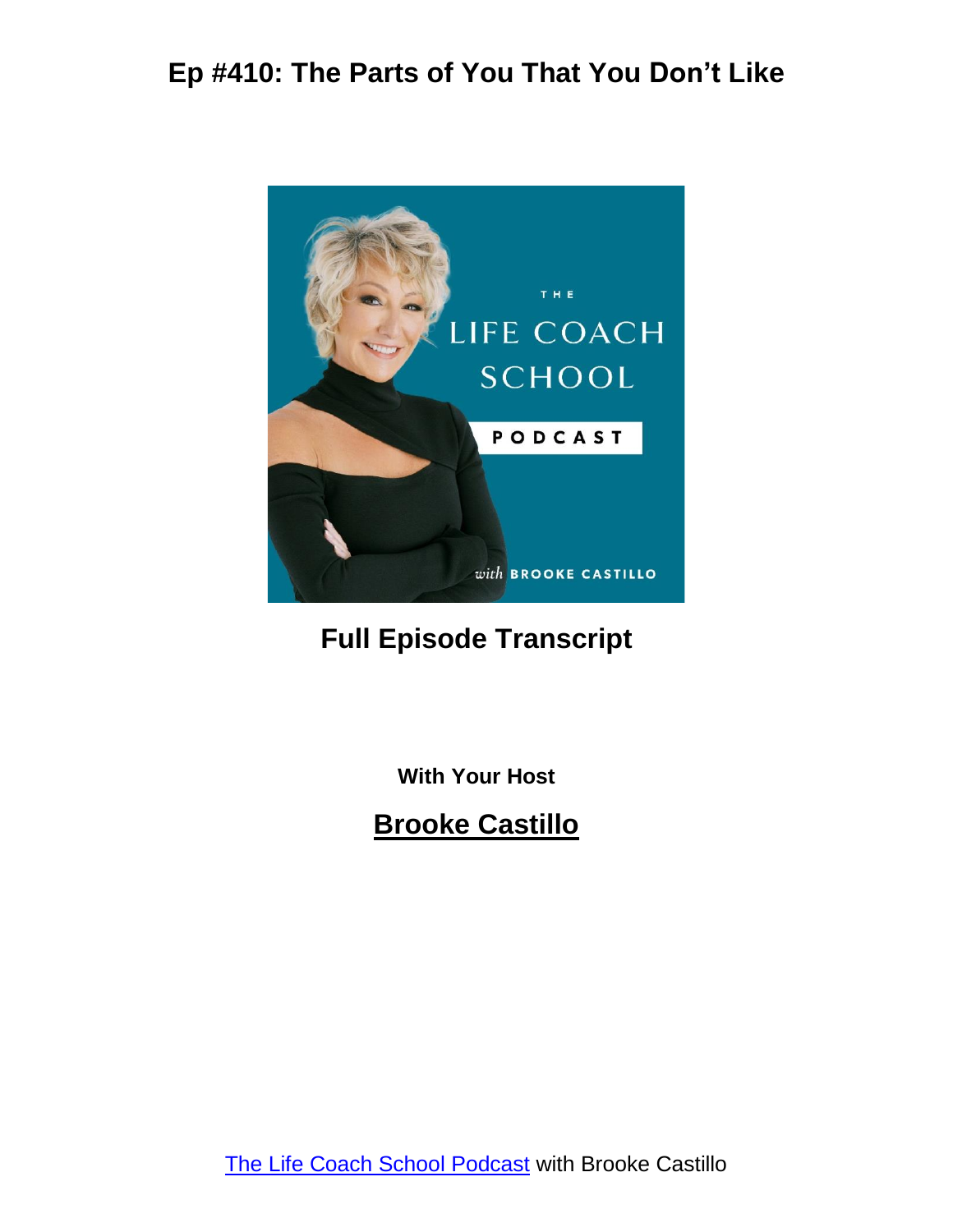

#### **Full Episode Transcript**

**With Your Host**

**Brooke Castillo**

The Life Coach School [Podcast](http://www.thelifecoachschool.com/) with Brooke Castillo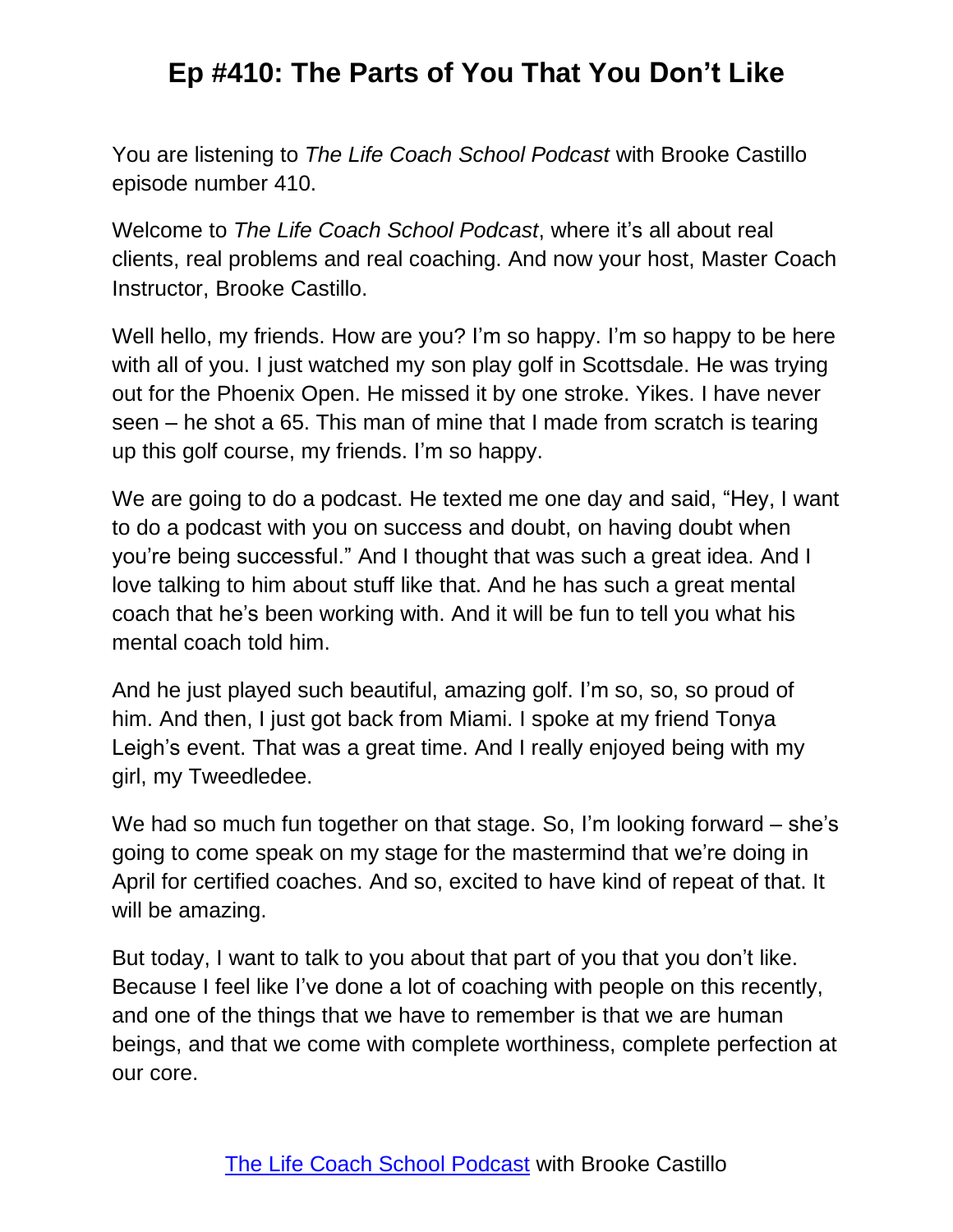You are listening to *The Life Coach School Podcast* with Brooke Castillo episode number 410.

Welcome to *The Life Coach School Podcast*, where it's all about real clients, real problems and real coaching. And now your host, Master Coach Instructor, Brooke Castillo.

Well hello, my friends. How are you? I'm so happy. I'm so happy to be here with all of you. I just watched my son play golf in Scottsdale. He was trying out for the Phoenix Open. He missed it by one stroke. Yikes. I have never seen – he shot a 65. This man of mine that I made from scratch is tearing up this golf course, my friends. I'm so happy.

We are going to do a podcast. He texted me one day and said, "Hey, I want to do a podcast with you on success and doubt, on having doubt when you're being successful." And I thought that was such a great idea. And I love talking to him about stuff like that. And he has such a great mental coach that he's been working with. And it will be fun to tell you what his mental coach told him.

And he just played such beautiful, amazing golf. I'm so, so, so proud of him. And then, I just got back from Miami. I spoke at my friend Tonya Leigh's event. That was a great time. And I really enjoyed being with my girl, my Tweedledee.

We had so much fun together on that stage. So, I'm looking forward – she's going to come speak on my stage for the mastermind that we're doing in April for certified coaches. And so, excited to have kind of repeat of that. It will be amazing.

But today, I want to talk to you about that part of you that you don't like. Because I feel like I've done a lot of coaching with people on this recently, and one of the things that we have to remember is that we are human beings, and that we come with complete worthiness, complete perfection at our core.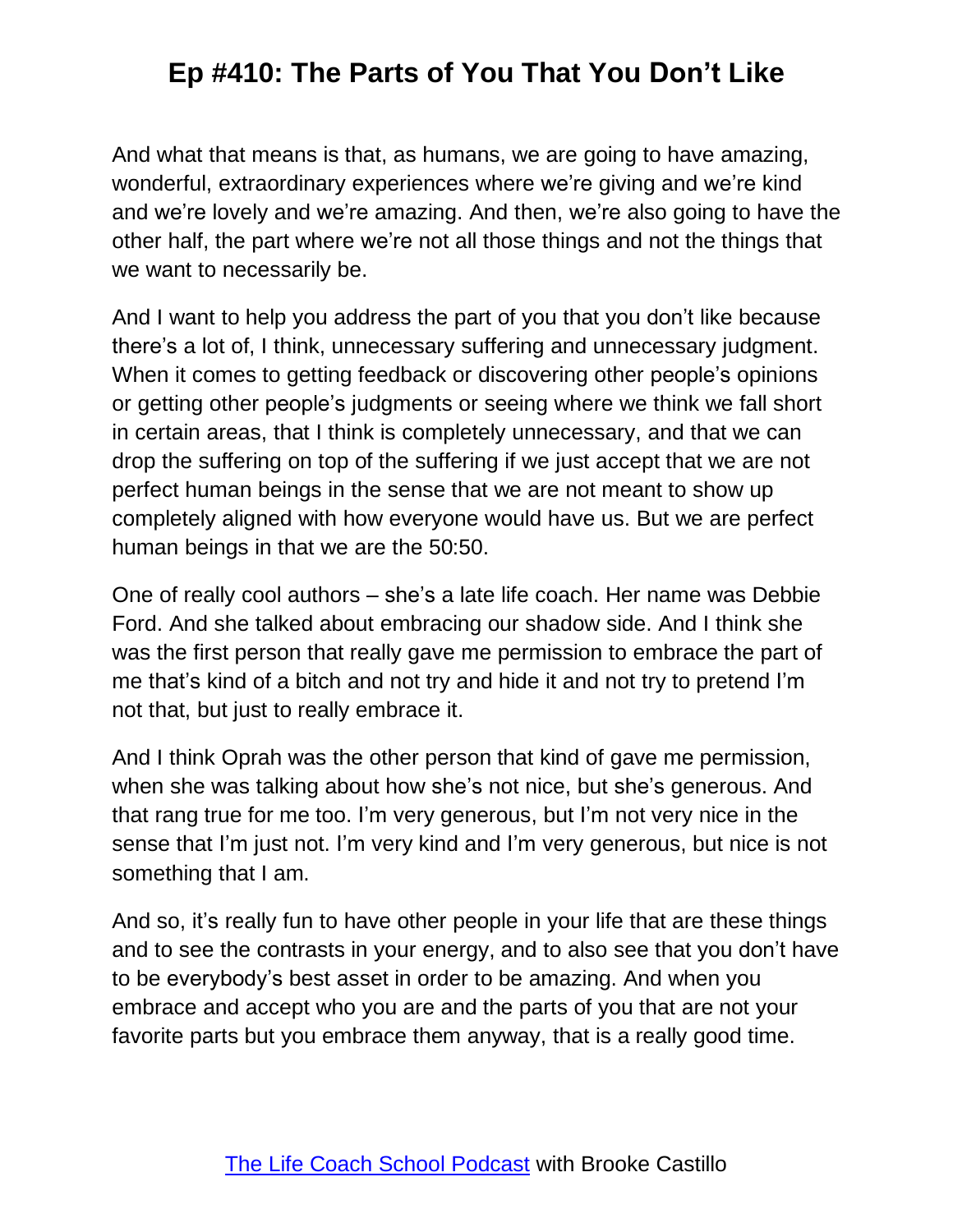And what that means is that, as humans, we are going to have amazing, wonderful, extraordinary experiences where we're giving and we're kind and we're lovely and we're amazing. And then, we're also going to have the other half, the part where we're not all those things and not the things that we want to necessarily be.

And I want to help you address the part of you that you don't like because there's a lot of, I think, unnecessary suffering and unnecessary judgment. When it comes to getting feedback or discovering other people's opinions or getting other people's judgments or seeing where we think we fall short in certain areas, that I think is completely unnecessary, and that we can drop the suffering on top of the suffering if we just accept that we are not perfect human beings in the sense that we are not meant to show up completely aligned with how everyone would have us. But we are perfect human beings in that we are the 50:50.

One of really cool authors – she's a late life coach. Her name was Debbie Ford. And she talked about embracing our shadow side. And I think she was the first person that really gave me permission to embrace the part of me that's kind of a bitch and not try and hide it and not try to pretend I'm not that, but just to really embrace it.

And I think Oprah was the other person that kind of gave me permission, when she was talking about how she's not nice, but she's generous. And that rang true for me too. I'm very generous, but I'm not very nice in the sense that I'm just not. I'm very kind and I'm very generous, but nice is not something that I am.

And so, it's really fun to have other people in your life that are these things and to see the contrasts in your energy, and to also see that you don't have to be everybody's best asset in order to be amazing. And when you embrace and accept who you are and the parts of you that are not your favorite parts but you embrace them anyway, that is a really good time.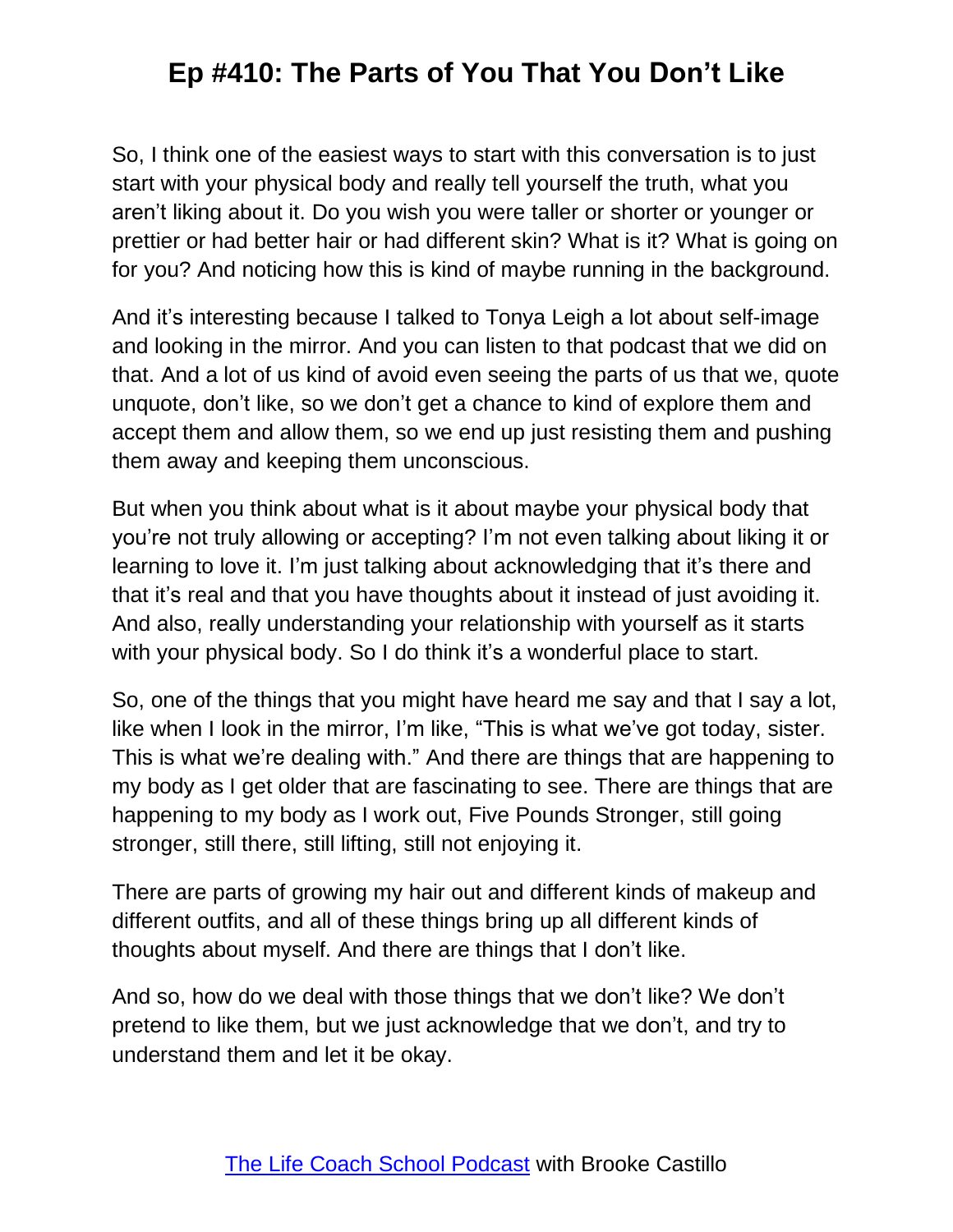So, I think one of the easiest ways to start with this conversation is to just start with your physical body and really tell yourself the truth, what you aren't liking about it. Do you wish you were taller or shorter or younger or prettier or had better hair or had different skin? What is it? What is going on for you? And noticing how this is kind of maybe running in the background.

And it's interesting because I talked to Tonya Leigh a lot about self-image and looking in the mirror. And you can listen to that podcast that we did on that. And a lot of us kind of avoid even seeing the parts of us that we, quote unquote, don't like, so we don't get a chance to kind of explore them and accept them and allow them, so we end up just resisting them and pushing them away and keeping them unconscious.

But when you think about what is it about maybe your physical body that you're not truly allowing or accepting? I'm not even talking about liking it or learning to love it. I'm just talking about acknowledging that it's there and that it's real and that you have thoughts about it instead of just avoiding it. And also, really understanding your relationship with yourself as it starts with your physical body. So I do think it's a wonderful place to start.

So, one of the things that you might have heard me say and that I say a lot, like when I look in the mirror, I'm like, "This is what we've got today, sister. This is what we're dealing with." And there are things that are happening to my body as I get older that are fascinating to see. There are things that are happening to my body as I work out, Five Pounds Stronger, still going stronger, still there, still lifting, still not enjoying it.

There are parts of growing my hair out and different kinds of makeup and different outfits, and all of these things bring up all different kinds of thoughts about myself. And there are things that I don't like.

And so, how do we deal with those things that we don't like? We don't pretend to like them, but we just acknowledge that we don't, and try to understand them and let it be okay.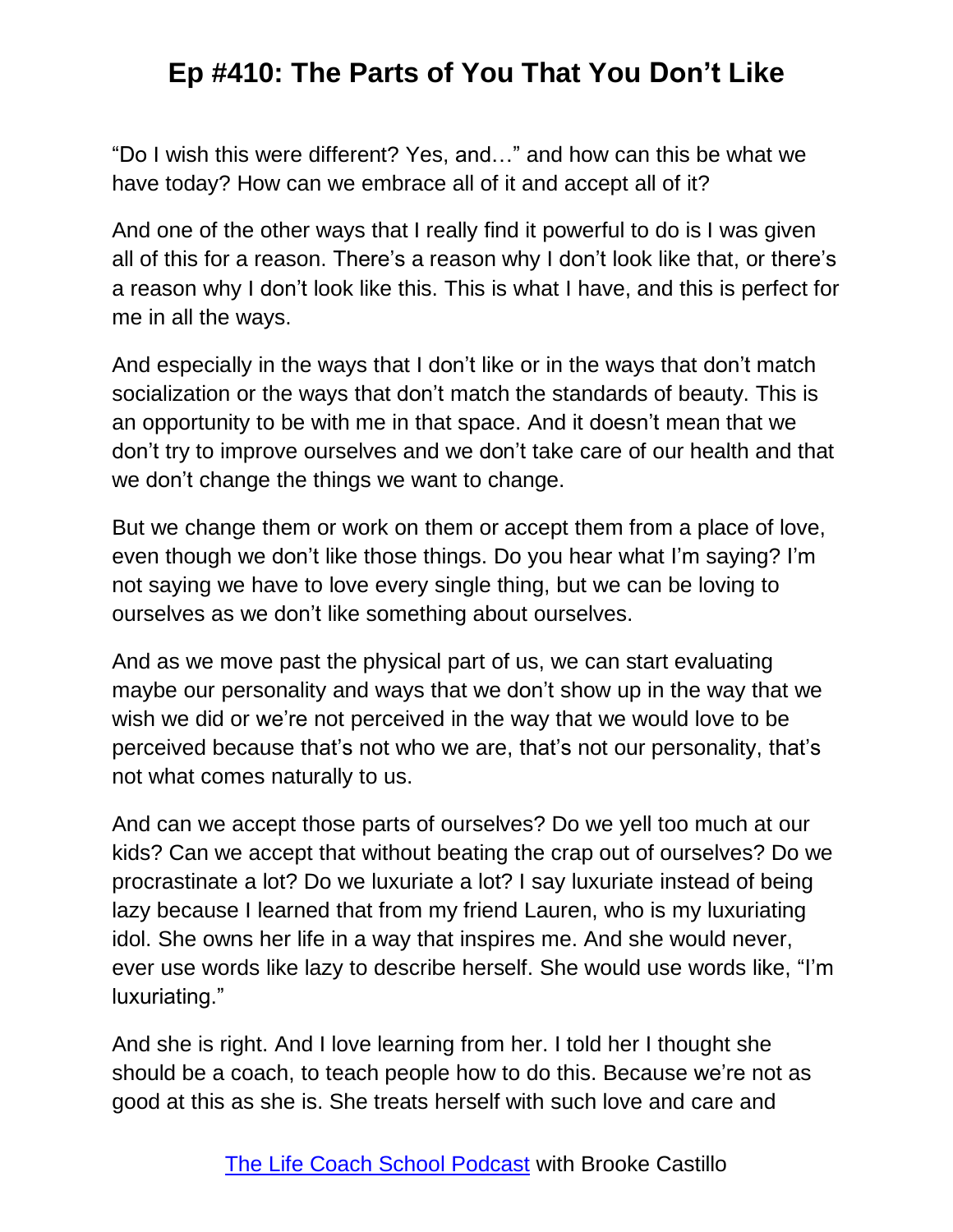"Do I wish this were different? Yes, and…" and how can this be what we have today? How can we embrace all of it and accept all of it?

And one of the other ways that I really find it powerful to do is I was given all of this for a reason. There's a reason why I don't look like that, or there's a reason why I don't look like this. This is what I have, and this is perfect for me in all the ways.

And especially in the ways that I don't like or in the ways that don't match socialization or the ways that don't match the standards of beauty. This is an opportunity to be with me in that space. And it doesn't mean that we don't try to improve ourselves and we don't take care of our health and that we don't change the things we want to change.

But we change them or work on them or accept them from a place of love, even though we don't like those things. Do you hear what I'm saying? I'm not saying we have to love every single thing, but we can be loving to ourselves as we don't like something about ourselves.

And as we move past the physical part of us, we can start evaluating maybe our personality and ways that we don't show up in the way that we wish we did or we're not perceived in the way that we would love to be perceived because that's not who we are, that's not our personality, that's not what comes naturally to us.

And can we accept those parts of ourselves? Do we yell too much at our kids? Can we accept that without beating the crap out of ourselves? Do we procrastinate a lot? Do we luxuriate a lot? I say luxuriate instead of being lazy because I learned that from my friend Lauren, who is my luxuriating idol. She owns her life in a way that inspires me. And she would never, ever use words like lazy to describe herself. She would use words like, "I'm luxuriating."

And she is right. And I love learning from her. I told her I thought she should be a coach, to teach people how to do this. Because we're not as good at this as she is. She treats herself with such love and care and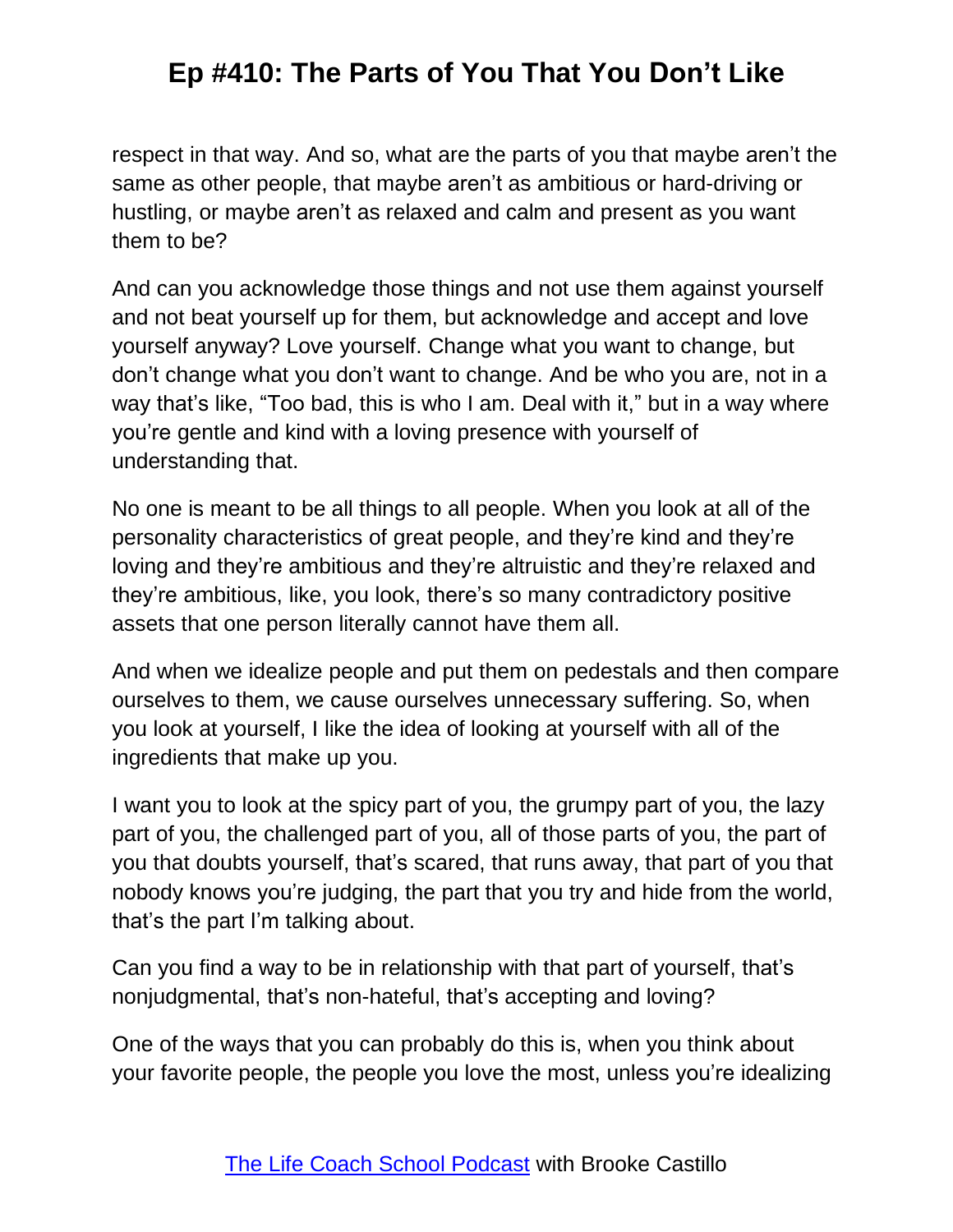respect in that way. And so, what are the parts of you that maybe aren't the same as other people, that maybe aren't as ambitious or hard-driving or hustling, or maybe aren't as relaxed and calm and present as you want them to be?

And can you acknowledge those things and not use them against yourself and not beat yourself up for them, but acknowledge and accept and love yourself anyway? Love yourself. Change what you want to change, but don't change what you don't want to change. And be who you are, not in a way that's like, "Too bad, this is who I am. Deal with it," but in a way where you're gentle and kind with a loving presence with yourself of understanding that.

No one is meant to be all things to all people. When you look at all of the personality characteristics of great people, and they're kind and they're loving and they're ambitious and they're altruistic and they're relaxed and they're ambitious, like, you look, there's so many contradictory positive assets that one person literally cannot have them all.

And when we idealize people and put them on pedestals and then compare ourselves to them, we cause ourselves unnecessary suffering. So, when you look at yourself, I like the idea of looking at yourself with all of the ingredients that make up you.

I want you to look at the spicy part of you, the grumpy part of you, the lazy part of you, the challenged part of you, all of those parts of you, the part of you that doubts yourself, that's scared, that runs away, that part of you that nobody knows you're judging, the part that you try and hide from the world, that's the part I'm talking about.

Can you find a way to be in relationship with that part of yourself, that's nonjudgmental, that's non-hateful, that's accepting and loving?

One of the ways that you can probably do this is, when you think about your favorite people, the people you love the most, unless you're idealizing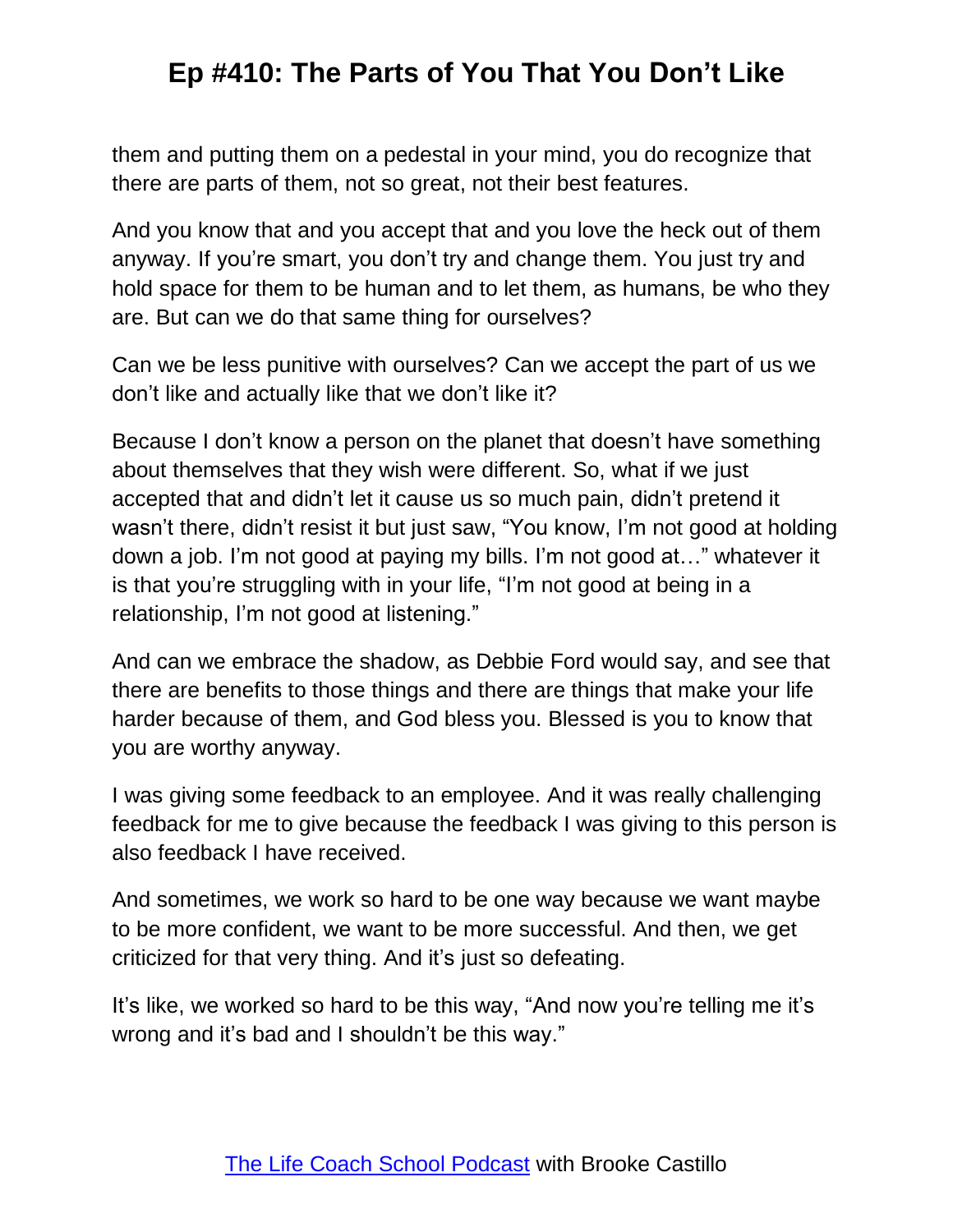them and putting them on a pedestal in your mind, you do recognize that there are parts of them, not so great, not their best features.

And you know that and you accept that and you love the heck out of them anyway. If you're smart, you don't try and change them. You just try and hold space for them to be human and to let them, as humans, be who they are. But can we do that same thing for ourselves?

Can we be less punitive with ourselves? Can we accept the part of us we don't like and actually like that we don't like it?

Because I don't know a person on the planet that doesn't have something about themselves that they wish were different. So, what if we just accepted that and didn't let it cause us so much pain, didn't pretend it wasn't there, didn't resist it but just saw, "You know, I'm not good at holding down a job. I'm not good at paying my bills. I'm not good at…" whatever it is that you're struggling with in your life, "I'm not good at being in a relationship, I'm not good at listening."

And can we embrace the shadow, as Debbie Ford would say, and see that there are benefits to those things and there are things that make your life harder because of them, and God bless you. Blessed is you to know that you are worthy anyway.

I was giving some feedback to an employee. And it was really challenging feedback for me to give because the feedback I was giving to this person is also feedback I have received.

And sometimes, we work so hard to be one way because we want maybe to be more confident, we want to be more successful. And then, we get criticized for that very thing. And it's just so defeating.

It's like, we worked so hard to be this way, "And now you're telling me it's wrong and it's bad and I shouldn't be this way."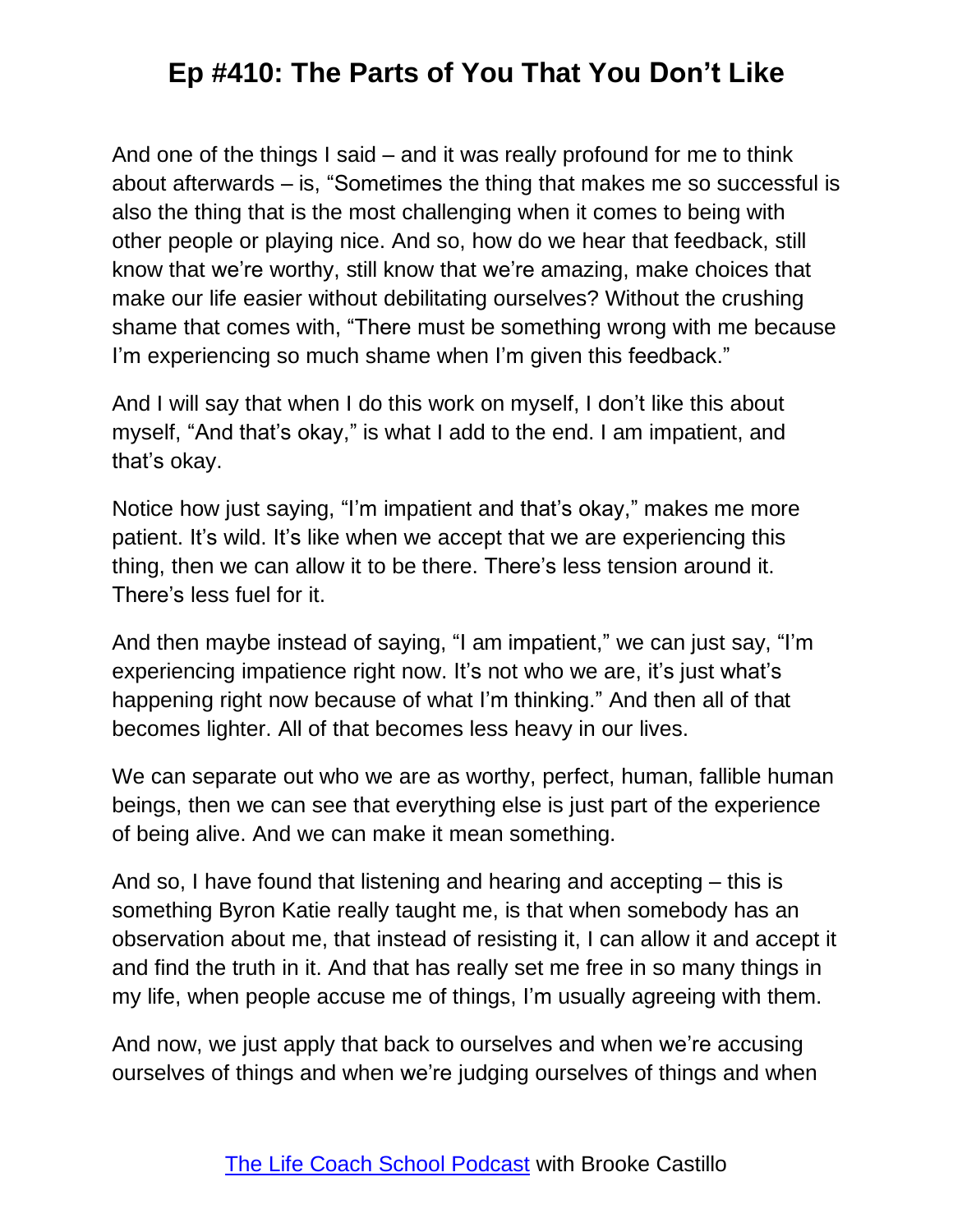And one of the things I said – and it was really profound for me to think about afterwards – is, "Sometimes the thing that makes me so successful is also the thing that is the most challenging when it comes to being with other people or playing nice. And so, how do we hear that feedback, still know that we're worthy, still know that we're amazing, make choices that make our life easier without debilitating ourselves? Without the crushing shame that comes with, "There must be something wrong with me because I'm experiencing so much shame when I'm given this feedback."

And I will say that when I do this work on myself, I don't like this about myself, "And that's okay," is what I add to the end. I am impatient, and that's okay.

Notice how just saying, "I'm impatient and that's okay," makes me more patient. It's wild. It's like when we accept that we are experiencing this thing, then we can allow it to be there. There's less tension around it. There's less fuel for it.

And then maybe instead of saying, "I am impatient," we can just say, "I'm experiencing impatience right now. It's not who we are, it's just what's happening right now because of what I'm thinking." And then all of that becomes lighter. All of that becomes less heavy in our lives.

We can separate out who we are as worthy, perfect, human, fallible human beings, then we can see that everything else is just part of the experience of being alive. And we can make it mean something.

And so, I have found that listening and hearing and accepting – this is something Byron Katie really taught me, is that when somebody has an observation about me, that instead of resisting it, I can allow it and accept it and find the truth in it. And that has really set me free in so many things in my life, when people accuse me of things, I'm usually agreeing with them.

And now, we just apply that back to ourselves and when we're accusing ourselves of things and when we're judging ourselves of things and when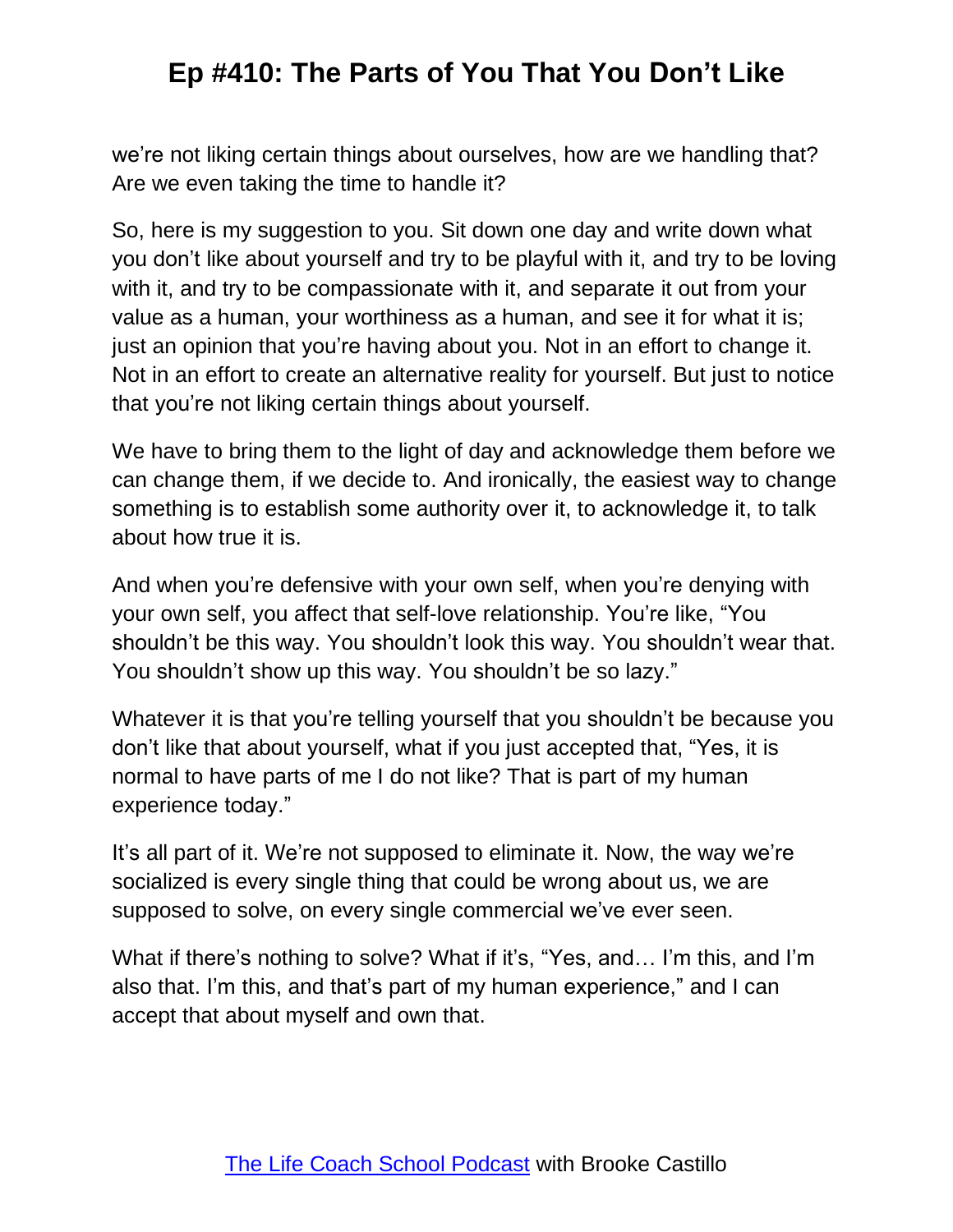we're not liking certain things about ourselves, how are we handling that? Are we even taking the time to handle it?

So, here is my suggestion to you. Sit down one day and write down what you don't like about yourself and try to be playful with it, and try to be loving with it, and try to be compassionate with it, and separate it out from your value as a human, your worthiness as a human, and see it for what it is; just an opinion that you're having about you. Not in an effort to change it. Not in an effort to create an alternative reality for yourself. But just to notice that you're not liking certain things about yourself.

We have to bring them to the light of day and acknowledge them before we can change them, if we decide to. And ironically, the easiest way to change something is to establish some authority over it, to acknowledge it, to talk about how true it is.

And when you're defensive with your own self, when you're denying with your own self, you affect that self-love relationship. You're like, "You shouldn't be this way. You shouldn't look this way. You shouldn't wear that. You shouldn't show up this way. You shouldn't be so lazy."

Whatever it is that you're telling yourself that you shouldn't be because you don't like that about yourself, what if you just accepted that, "Yes, it is normal to have parts of me I do not like? That is part of my human experience today."

It's all part of it. We're not supposed to eliminate it. Now, the way we're socialized is every single thing that could be wrong about us, we are supposed to solve, on every single commercial we've ever seen.

What if there's nothing to solve? What if it's, "Yes, and… I'm this, and I'm also that. I'm this, and that's part of my human experience," and I can accept that about myself and own that.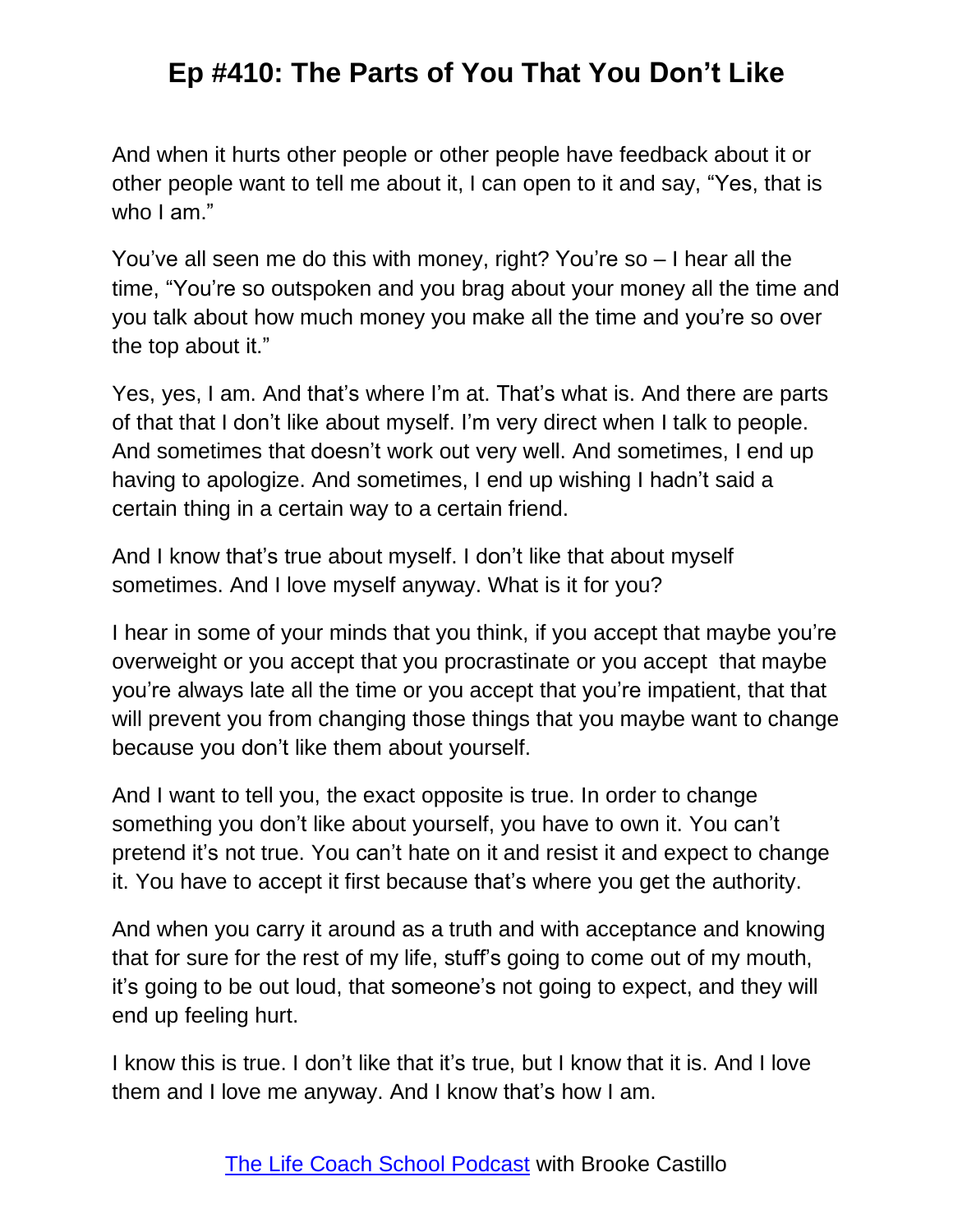And when it hurts other people or other people have feedback about it or other people want to tell me about it, I can open to it and say, "Yes, that is who I am."

You've all seen me do this with money, right? You're so – I hear all the time, "You're so outspoken and you brag about your money all the time and you talk about how much money you make all the time and you're so over the top about it."

Yes, yes, I am. And that's where I'm at. That's what is. And there are parts of that that I don't like about myself. I'm very direct when I talk to people. And sometimes that doesn't work out very well. And sometimes, I end up having to apologize. And sometimes, I end up wishing I hadn't said a certain thing in a certain way to a certain friend.

And I know that's true about myself. I don't like that about myself sometimes. And I love myself anyway. What is it for you?

I hear in some of your minds that you think, if you accept that maybe you're overweight or you accept that you procrastinate or you accept that maybe you're always late all the time or you accept that you're impatient, that that will prevent you from changing those things that you maybe want to change because you don't like them about yourself.

And I want to tell you, the exact opposite is true. In order to change something you don't like about yourself, you have to own it. You can't pretend it's not true. You can't hate on it and resist it and expect to change it. You have to accept it first because that's where you get the authority.

And when you carry it around as a truth and with acceptance and knowing that for sure for the rest of my life, stuff's going to come out of my mouth, it's going to be out loud, that someone's not going to expect, and they will end up feeling hurt.

I know this is true. I don't like that it's true, but I know that it is. And I love them and I love me anyway. And I know that's how I am.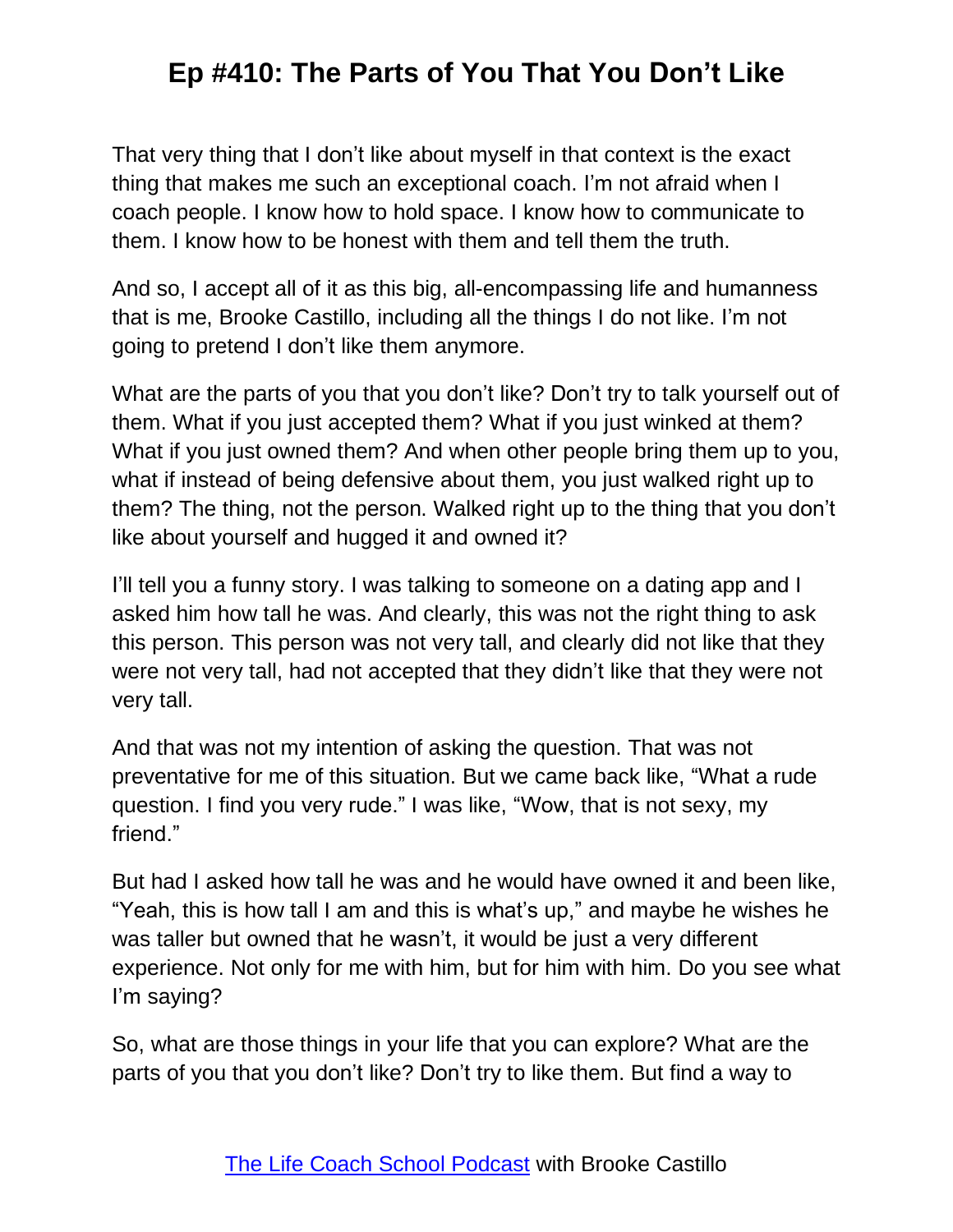That very thing that I don't like about myself in that context is the exact thing that makes me such an exceptional coach. I'm not afraid when I coach people. I know how to hold space. I know how to communicate to them. I know how to be honest with them and tell them the truth.

And so, I accept all of it as this big, all-encompassing life and humanness that is me, Brooke Castillo, including all the things I do not like. I'm not going to pretend I don't like them anymore.

What are the parts of you that you don't like? Don't try to talk yourself out of them. What if you just accepted them? What if you just winked at them? What if you just owned them? And when other people bring them up to you, what if instead of being defensive about them, you just walked right up to them? The thing, not the person. Walked right up to the thing that you don't like about yourself and hugged it and owned it?

I'll tell you a funny story. I was talking to someone on a dating app and I asked him how tall he was. And clearly, this was not the right thing to ask this person. This person was not very tall, and clearly did not like that they were not very tall, had not accepted that they didn't like that they were not very tall.

And that was not my intention of asking the question. That was not preventative for me of this situation. But we came back like, "What a rude question. I find you very rude." I was like, "Wow, that is not sexy, my friend."

But had I asked how tall he was and he would have owned it and been like, "Yeah, this is how tall I am and this is what's up," and maybe he wishes he was taller but owned that he wasn't, it would be just a very different experience. Not only for me with him, but for him with him. Do you see what I'm saying?

So, what are those things in your life that you can explore? What are the parts of you that you don't like? Don't try to like them. But find a way to